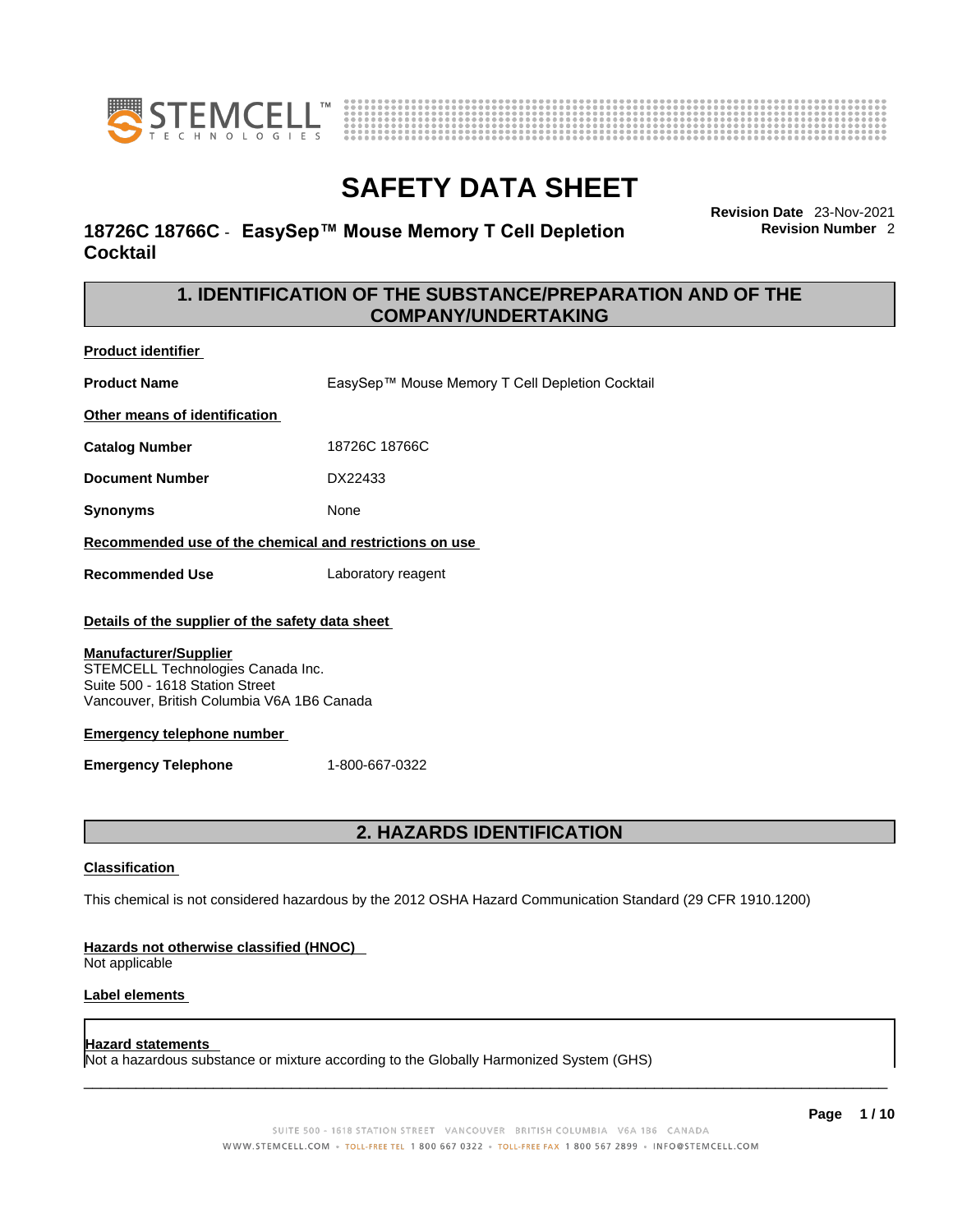



# **18726C 18766C** - **EasySep™ Mouse Memory T Cell Depletion Cocktail**

**Revision Date** 23-Nov-2021 **Revision Number** 2

# **1. IDENTIFICATION OF THE SUBSTANCE/PREPARATION AND OF THE COMPANY/UNDERTAKING**

**Product identifier**

**Product Name** EasySep™ Mouse Memory T Cell Depletion Cocktail

**Other means of identification**

**Catalog Number** 18726C 18766C

**Document Number** DX22433

**Synonyms** None

**Recommended use of the chemical and restrictions on use**

**Recommended Use** Laboratory reagent

### **Details of the supplier of the safety data sheet**

### **Manufacturer/Supplier**

STEMCELL Technologies Canada Inc. Suite 500 - 1618 Station Street Vancouver, British Columbia V6A 1B6 Canada

### **Emergency telephone number**

**Emergency Telephone** 1-800-667-0322

# **2. HAZARDS IDENTIFICATION**

### **Classification**

This chemical is not considered hazardous by the 2012 OSHA Hazard Communication Standard (29 CFR 1910.1200)

### **Hazards not otherwise classified (HNOC)**

Not applicable

### **Label elements**

### **Hazard statements**

Not a hazardous substance or mixture according to the Globally Harmonized System (GHS)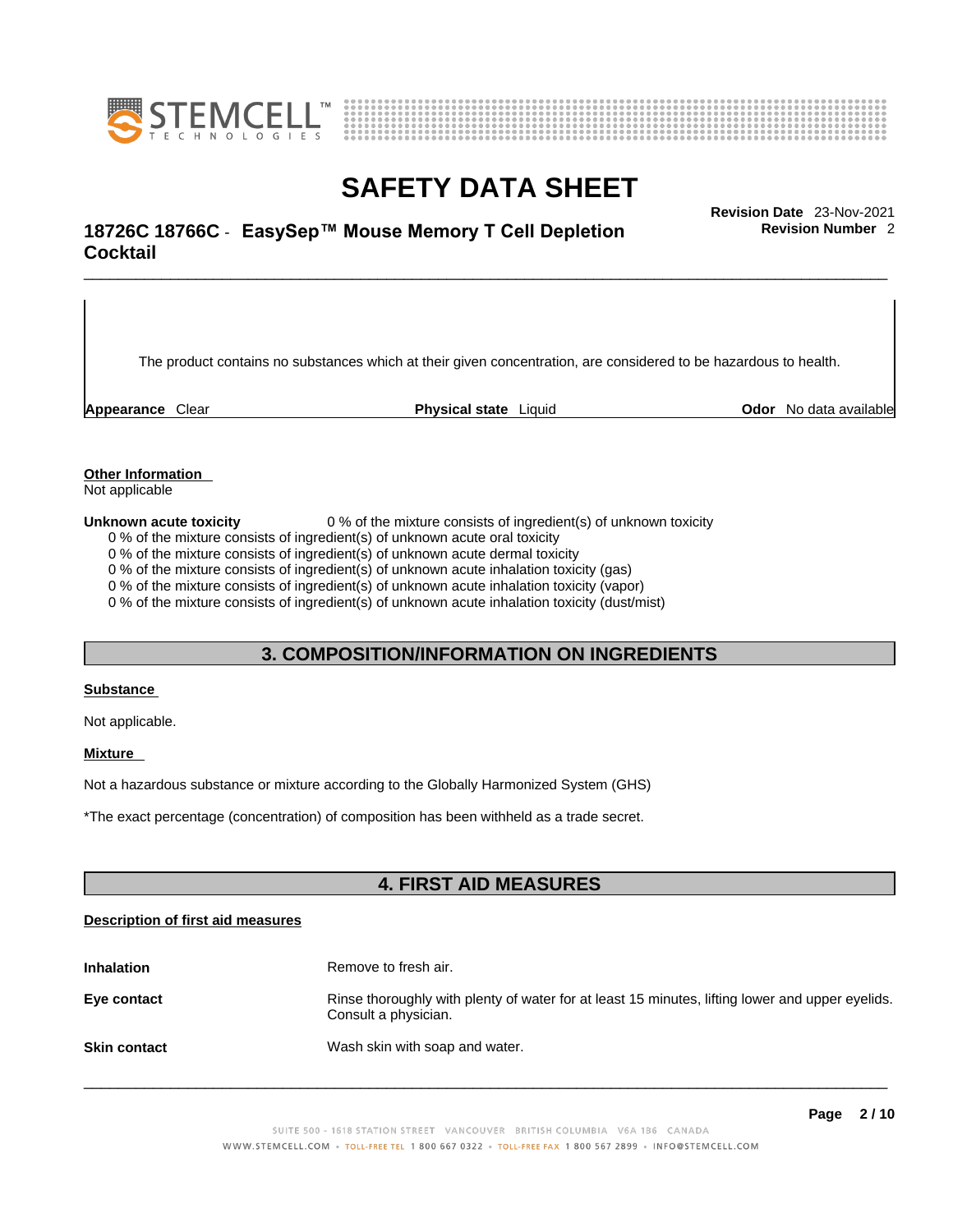



# \_\_\_\_\_\_\_\_\_\_\_\_\_\_\_\_\_\_\_\_\_\_\_\_\_\_\_\_\_\_\_\_\_\_\_\_\_\_\_\_\_\_\_\_\_\_\_\_\_\_\_\_\_\_\_\_\_\_\_\_\_\_\_\_\_\_\_\_\_\_\_\_\_\_\_\_\_\_\_\_\_\_\_\_\_\_\_\_\_\_\_\_\_ **Revision Date** 23-Nov-2021 **18726C 18766C** - **EasySep™ Mouse Memory T Cell Depletion Cocktail**

The product contains no substances which at their given concentration, are considered to be hazardous to health.

**Appearance** Clear **Physical state** Liquid **Odor** No data available

**Revision Number** 2

**Other Information** 

Not applicable

**Unknown acute toxicity** 0 % of the mixture consists of ingredient(s) of unknown toxicity

0 % of the mixture consists of ingredient(s) of unknown acute oral toxicity

0 % of the mixture consists of ingredient(s) of unknown acute dermal toxicity

0 % of the mixture consists of ingredient(s) of unknown acute inhalation toxicity (gas)

0 % of the mixture consists of ingredient(s) of unknown acute inhalation toxicity (vapor)

0 % of the mixture consists of ingredient(s) of unknown acute inhalation toxicity (dust/mist)

# **3. COMPOSITION/INFORMATION ON INGREDIENTS**

#### **Substance**

Not applicable.

### **Mixture**

Not a hazardous substance or mixture according to the Globally Harmonized System (GHS)

\*The exact percentage (concentration) ofcomposition has been withheld as a trade secret.

# **4. FIRST AID MEASURES**

### **Description of first aid measures**

| <b>Inhalation</b>   | Remove to fresh air.                                                                                                    |
|---------------------|-------------------------------------------------------------------------------------------------------------------------|
| Eye contact         | Rinse thoroughly with plenty of water for at least 15 minutes, lifting lower and upper eyelids.<br>Consult a physician. |
| <b>Skin contact</b> | Wash skin with soap and water.                                                                                          |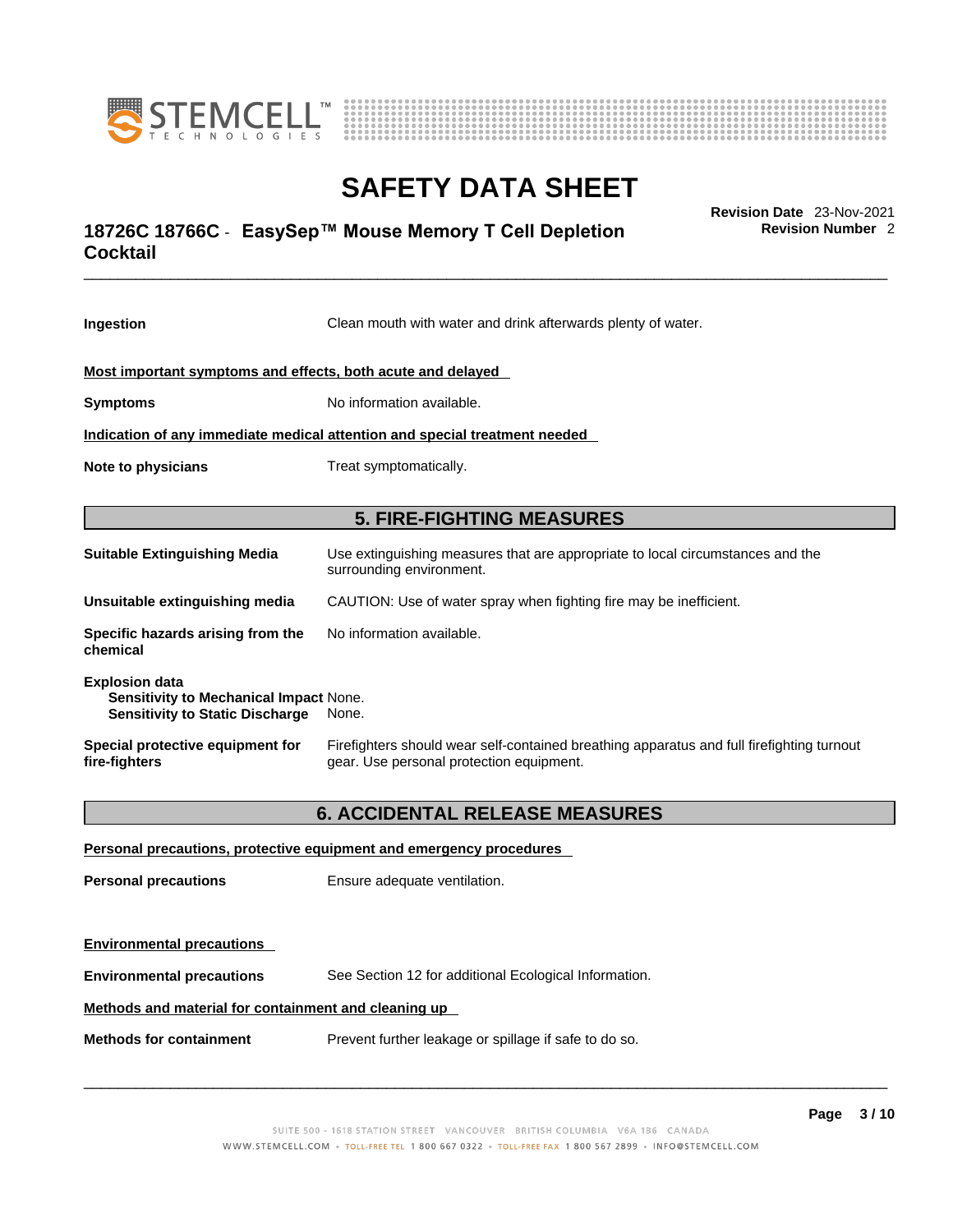



# \_\_\_\_\_\_\_\_\_\_\_\_\_\_\_\_\_\_\_\_\_\_\_\_\_\_\_\_\_\_\_\_\_\_\_\_\_\_\_\_\_\_\_\_\_\_\_\_\_\_\_\_\_\_\_\_\_\_\_\_\_\_\_\_\_\_\_\_\_\_\_\_\_\_\_\_\_\_\_\_\_\_\_\_\_\_\_\_\_\_\_\_\_ **Revision Date** 23-Nov-2021 **18726C 18766C** - **EasySep™ Mouse Memory T Cell Depletion Cocktail**

**Ingestion** Clean mouth with water and drink afterwards plenty of water. **Most important symptoms and effects, both acute and delayed Symptoms** No information available. **Indication of any immediate medical attention and special treatment needed Note to physicians** Treat symptomatically. **5. FIRE-FIGHTING MEASURES Suitable Extinguishing Media** Use extinguishing measures that are appropriate to local circumstances and the surrounding environment. **Unsuitable extinguishing media** CAUTION: Use of water spray when fighting fire may be inefficient. **Specific hazards arising from the chemical** No information available. **Explosion data Sensitivity to Mechanical Impact** None. **Sensitivity to Static Discharge** None. **Special protective equipment for fire-fighters** Firefighters should wear self-contained breathing apparatus and full firefighting turnout gear. Use personal protection equipment. **6. ACCIDENTAL RELEASE MEASURES Personal precautions, protective equipment and emergency procedures**

**Personal precautions** Ensure adequate ventilation. **Environmental precautions Environmental precautions** See Section 12 for additional Ecological Information. **Methods and material for containment and cleaning up Methods for containment** Prevent further leakage or spillage if safe to do so.

 $\_$  ,  $\_$  ,  $\_$  ,  $\_$  ,  $\_$  ,  $\_$  ,  $\_$  ,  $\_$  ,  $\_$  ,  $\_$  ,  $\_$  ,  $\_$  ,  $\_$  ,  $\_$  ,  $\_$  ,  $\_$  ,  $\_$  ,  $\_$  ,  $\_$  ,  $\_$  ,  $\_$  ,  $\_$  ,  $\_$  ,  $\_$  ,  $\_$  ,  $\_$  ,  $\_$  ,  $\_$  ,  $\_$  ,  $\_$  ,  $\_$  ,  $\_$  ,  $\_$  ,  $\_$  ,  $\_$  ,  $\_$  ,  $\_$  ,

**Revision Number** 2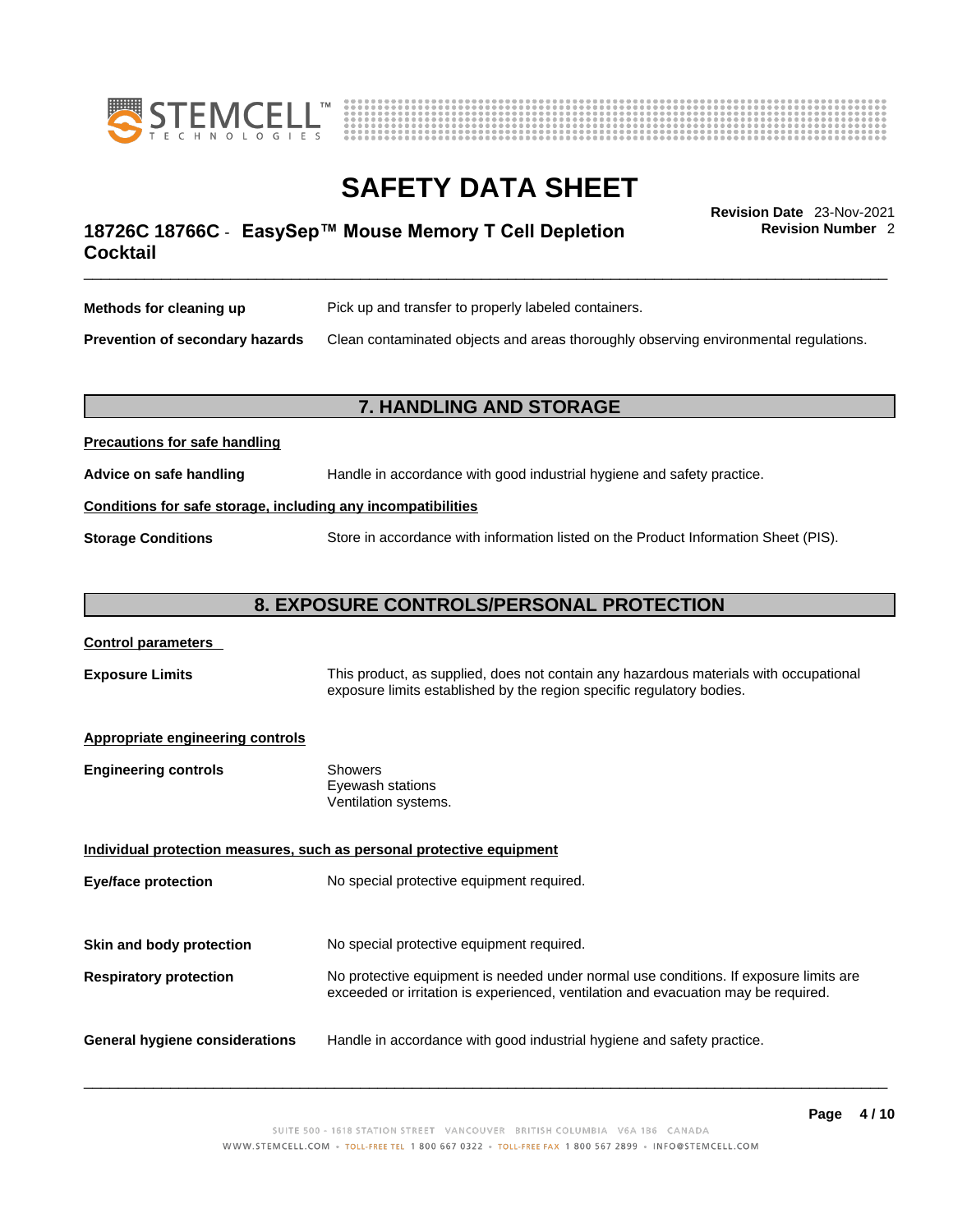



**Revision Number** 2

# \_\_\_\_\_\_\_\_\_\_\_\_\_\_\_\_\_\_\_\_\_\_\_\_\_\_\_\_\_\_\_\_\_\_\_\_\_\_\_\_\_\_\_\_\_\_\_\_\_\_\_\_\_\_\_\_\_\_\_\_\_\_\_\_\_\_\_\_\_\_\_\_\_\_\_\_\_\_\_\_\_\_\_\_\_\_\_\_\_\_\_\_\_ **Revision Date** 23-Nov-2021 **18726C 18766C** - **EasySep™ Mouse Memory T Cell Depletion Cocktail**

| Methods for cleaning up                | Pick up and transfer to properly labeled containers.                                 |
|----------------------------------------|--------------------------------------------------------------------------------------|
| <b>Prevention of secondary hazards</b> | Clean contaminated objects and areas thoroughly observing environmental regulations. |

# **7. HANDLING AND STORAGE**

| Advice on safe handling   | Handle in accordance with good industrial hygiene and safety practice.              |  |
|---------------------------|-------------------------------------------------------------------------------------|--|
|                           | Conditions for safe storage, including any incompatibilities                        |  |
| <b>Storage Conditions</b> | Store in accordance with information listed on the Product Information Sheet (PIS). |  |

# **8. EXPOSURE CONTROLS/PERSONAL PROTECTION**

### **Control parameters**

**Precautions for safe handling**

**Exposure Limits** This product, as supplied, does not contain any hazardous materials with occupational exposure limits established by the region specific regulatory bodies.

### **Appropriate engineering controls**

| <b>Engineering controls</b> | Showers              |
|-----------------------------|----------------------|
|                             | Eyewash stations     |
|                             | Ventilation systems. |

**Individual protection measures, such as personal protective equipment Eye/face protection** No special protective equipment required. **Skin and body protection** No special protective equipment required. **Respiratory protection** No protective equipment is needed under normal use conditions. If exposure limits are exceeded or irritation is experienced, ventilation and evacuation may be required. **General hygiene considerations** Handle in accordance with good industrial hygiene and safety practice.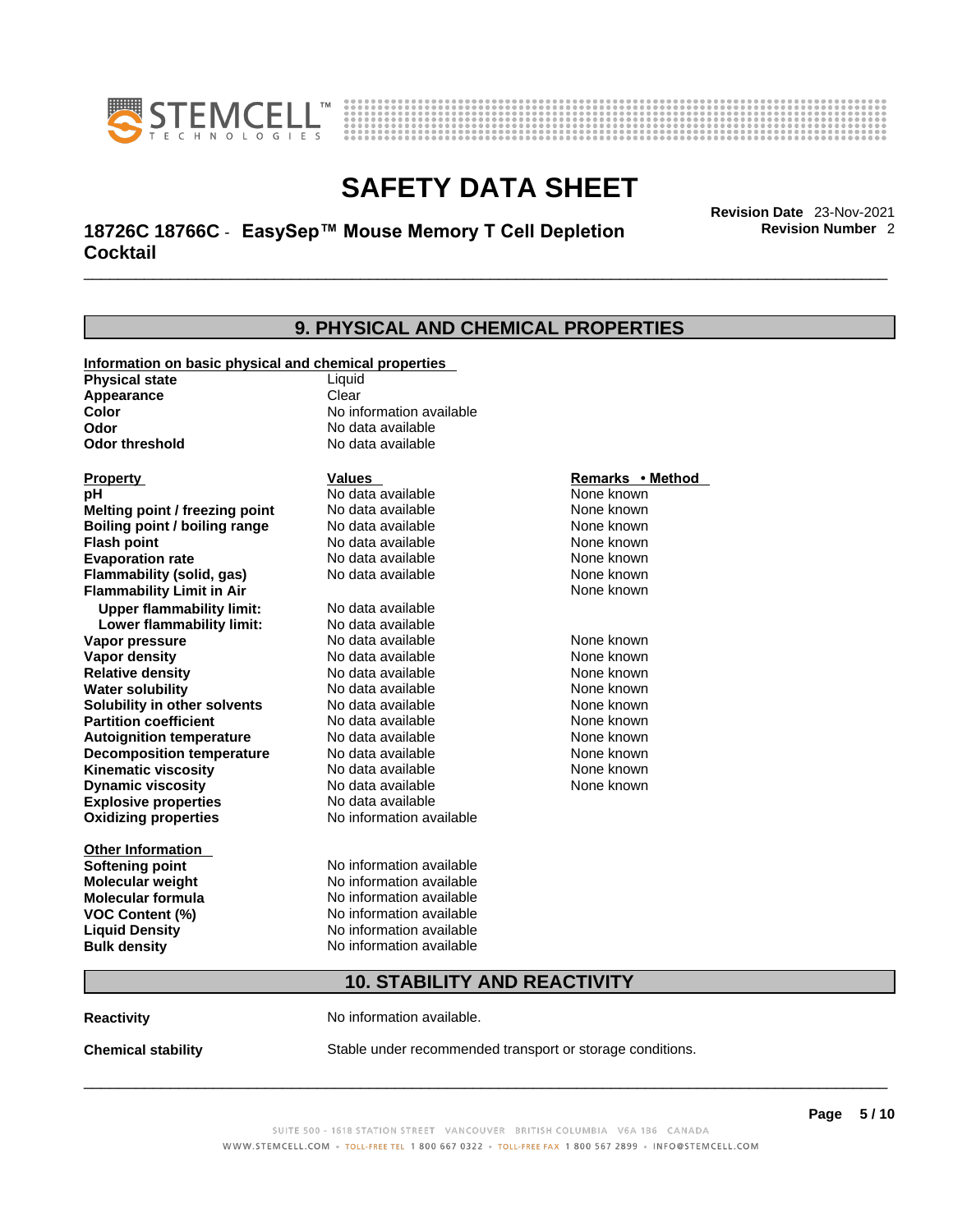



# \_\_\_\_\_\_\_\_\_\_\_\_\_\_\_\_\_\_\_\_\_\_\_\_\_\_\_\_\_\_\_\_\_\_\_\_\_\_\_\_\_\_\_\_\_\_\_\_\_\_\_\_\_\_\_\_\_\_\_\_\_\_\_\_\_\_\_\_\_\_\_\_\_\_\_\_\_\_\_\_\_\_\_\_\_\_\_\_\_\_\_\_\_ **Revision Date** 23-Nov-2021 **18726C 18766C** - **EasySep™ Mouse Memory T Cell Depletion Cocktail**

**Revision Number** 2

### **9. PHYSICAL AND CHEMICAL PROPERTIES Information on basic physical and chemical properties Physical state** Liquid **Appearance** Clear<br> **Color** No int **Color Color Color Color Color Color Color No** data available **Odor Odor Constanting Codor Constanting Codor Codor Codor Codor Codor Codor Codor Codor Codor Codor Codor Codor Codor Codor Codor Codor Codor Codor Codor Codor Codor Codor Codor No data available Explosive properties** No data available **Oxidizing properties** No information available **Other Information Softening point** No information available **Molecular weight** No information available **Molecular formula** No information available<br>**VOC Content (%)** No information available **VOC Content (%) Liquid Density** No information available **Bulk density No information available 10. STABILITY AND REACTIVITY Reactivity No information available. Property CONSCRUTE IN THE VALUES REMARKS • Method pH** No data available None known **Melting point / freezing point Boiling point / boiling range No data available None known Flash point Communist Communist Communist Communist Communist Communist Communist Communist Communist Communist Communist Communist Communist Communist Communist Communist Communist Communist Communist Communist Communi Evaporation rate Reserve ACC** No data available **None known** None known **Flammability (solid, gas)** No data available None known **Flammability Limit in Air None known None known Upper flammability limit:** No data available **Lower flammability limit:** No data available **Vapor pressure No data available None known Vapor density No data available None known Relative density No data available None known** None known **Water solubility No data available** Mome known<br> **Solubility in other solvents** No data available **None known**<br>
None known **Solubility in other solvents** No data available **None known**<br> **Partition coefficient** No data available None known **Partition coefficient**<br> **Autoignition temperature**<br>
No data available **Autoignition temperature** No data available None known<br> **Decomposition temperature** No data available None known **Decomposition temperature** No data available None known<br> **Kinematic viscosity** No data available None known **Kinematic viscosity** No data available<br> **Dynamic viscosity** No data available **Dynamic viscosity** None known

**Chemical stability** Stable under recommended transport or storage conditions.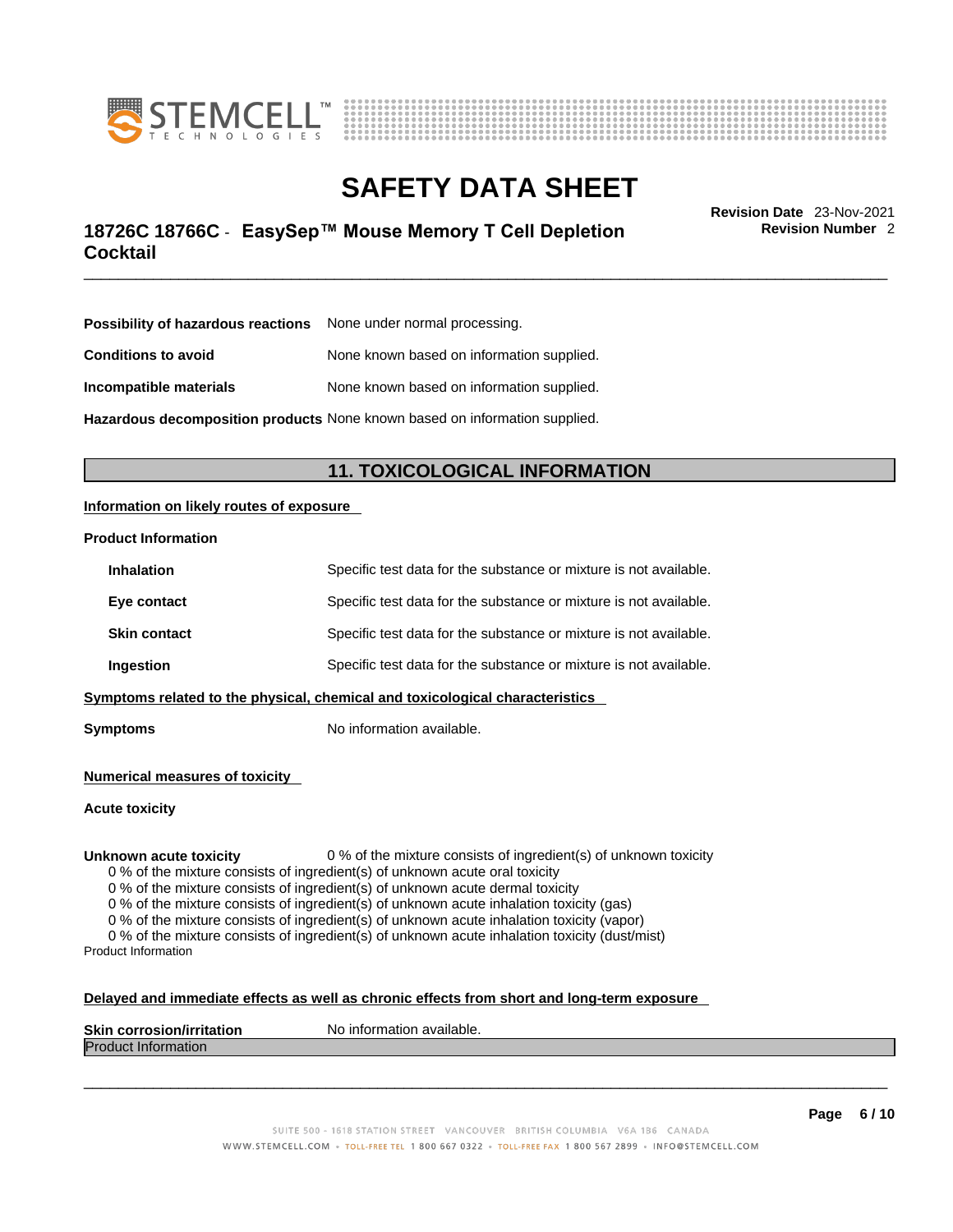



# \_\_\_\_\_\_\_\_\_\_\_\_\_\_\_\_\_\_\_\_\_\_\_\_\_\_\_\_\_\_\_\_\_\_\_\_\_\_\_\_\_\_\_\_\_\_\_\_\_\_\_\_\_\_\_\_\_\_\_\_\_\_\_\_\_\_\_\_\_\_\_\_\_\_\_\_\_\_\_\_\_\_\_\_\_\_\_\_\_\_\_\_\_ **Revision Date** 23-Nov-2021 **18726C 18766C** - **EasySep™ Mouse Memory T Cell Depletion Cocktail**

**Revision Number** 2

| <b>Possibility of hazardous reactions</b> None under normal processing.    |                                           |
|----------------------------------------------------------------------------|-------------------------------------------|
| <b>Conditions to avoid</b>                                                 | None known based on information supplied. |
| None known based on information supplied.<br>Incompatible materials        |                                           |
| Hazardous decomposition products None known based on information supplied. |                                           |

# **11. TOXICOLOGICAL INFORMATION**

### **Information on likely routes of exposure**

#### **Product Information**

| Symptoms related to the physical, chemical and toxicological characteristics           |                     |                                                                   |
|----------------------------------------------------------------------------------------|---------------------|-------------------------------------------------------------------|
|                                                                                        | Ingestion           | Specific test data for the substance or mixture is not available. |
|                                                                                        | <b>Skin contact</b> | Specific test data for the substance or mixture is not available. |
|                                                                                        | Eye contact         | Specific test data for the substance or mixture is not available. |
| Specific test data for the substance or mixture is not available.<br><b>Inhalation</b> |                     |                                                                   |

**Symptoms** No information available.

**Numerical measures of toxicity**

**Acute toxicity**

**Unknown acute toxicity** 0 % of the mixture consists of ingredient(s) of unknown toxicity

0 % of the mixture consists of ingredient(s) of unknown acute oral toxicity

0 % of the mixture consists of ingredient(s) of unknown acute dermal toxicity

0 % of the mixture consists of ingredient(s) of unknown acute inhalation toxicity (gas)

0 % of the mixture consists of ingredient(s) of unknown acute inhalation toxicity (vapor)

0 % of the mixture consists of ingredient(s) of unknown acute inhalation toxicity (dust/mist) Product Information

#### **Delayed and immediate effects as well as chronic effects from short and long-term exposure**

| <b>Skin corrosion/irritation</b> | mation available.<br>Nο<br>. Inform |
|----------------------------------|-------------------------------------|
| Produc<br>⊆iniormation           |                                     |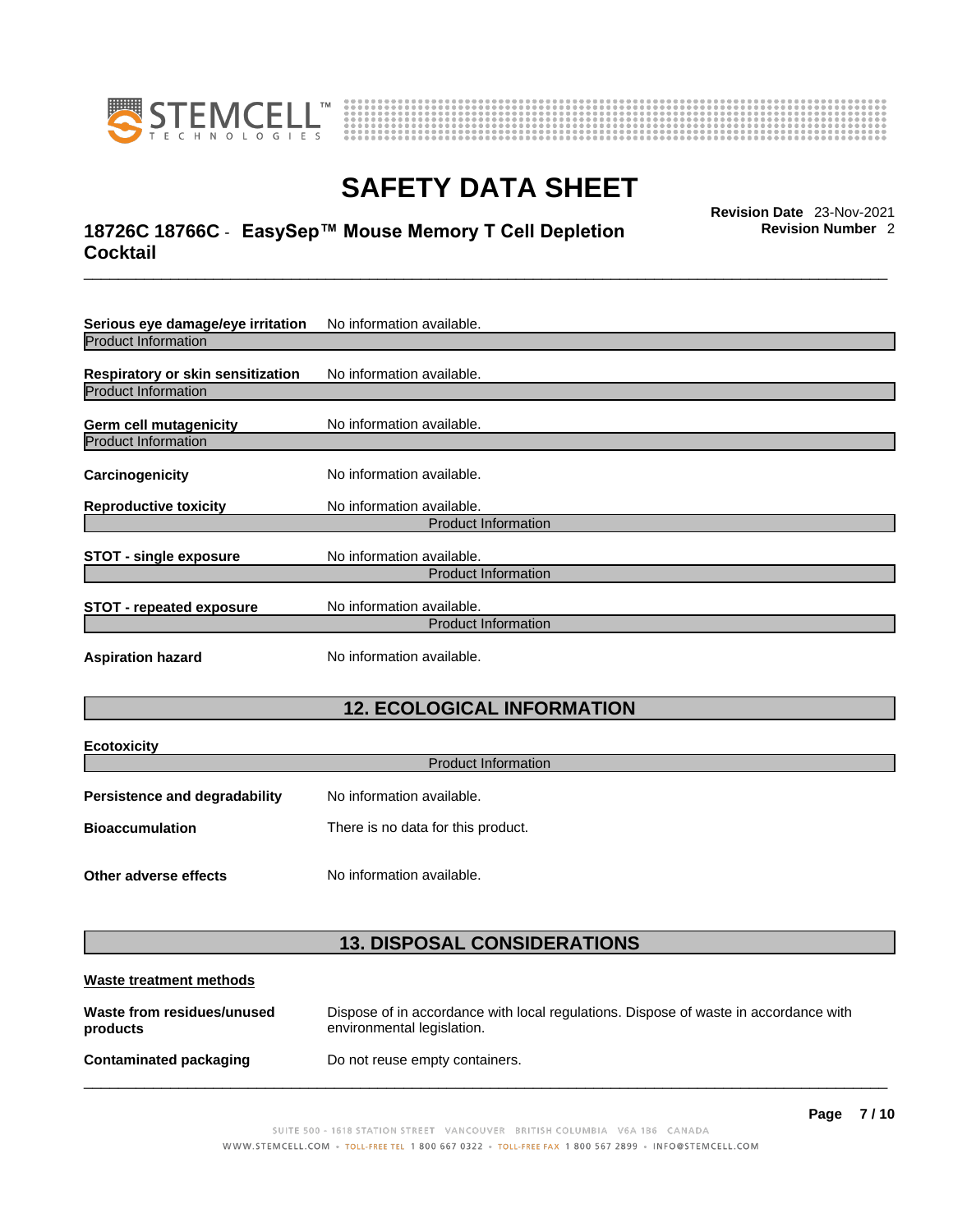

**Ecotoxicity** 



# **SAFETY DATA SHEET**

# \_\_\_\_\_\_\_\_\_\_\_\_\_\_\_\_\_\_\_\_\_\_\_\_\_\_\_\_\_\_\_\_\_\_\_\_\_\_\_\_\_\_\_\_\_\_\_\_\_\_\_\_\_\_\_\_\_\_\_\_\_\_\_\_\_\_\_\_\_\_\_\_\_\_\_\_\_\_\_\_\_\_\_\_\_\_\_\_\_\_\_\_\_ **Revision Date** 23-Nov-2021 **18726C 18766C** - **EasySep™ Mouse Memory T Cell Depletion Cocktail**

**Revision Number** 2

| Serious eye damage/eye irritation                                      | No information available.                               |  |
|------------------------------------------------------------------------|---------------------------------------------------------|--|
| <b>Product Information</b>                                             |                                                         |  |
| <b>Respiratory or skin sensitization</b><br><b>Product Information</b> | No information available.                               |  |
| <b>Germ cell mutagenicity</b>                                          | No information available.                               |  |
| <b>Product Information</b>                                             |                                                         |  |
| Carcinogenicity                                                        | No information available.                               |  |
| <b>Reproductive toxicity</b>                                           | No information available.                               |  |
|                                                                        | <b>Product Information</b>                              |  |
| <b>STOT - single exposure</b>                                          | No information available.                               |  |
|                                                                        | <b>Product Information</b>                              |  |
| <b>STOT - repeated exposure</b>                                        | No information available.<br><b>Product Information</b> |  |
| <b>Aspiration hazard</b>                                               | No information available.                               |  |

# **12. ECOLOGICAL INFORMATION**

| <b>ECOTOXICITY</b><br><b>Product Information</b> |                                    |  |
|--------------------------------------------------|------------------------------------|--|
| <b>Persistence and degradability</b>             | No information available.          |  |
| <b>Bioaccumulation</b>                           | There is no data for this product. |  |
| Other adverse effects                            | No information available.          |  |

# **13. DISPOSAL CONSIDERATIONS**

| Waste treatment methods                |                                                                                                                    |  |
|----------------------------------------|--------------------------------------------------------------------------------------------------------------------|--|
| Waste from residues/unused<br>products | Dispose of in accordance with local regulations. Dispose of waste in accordance with<br>environmental legislation. |  |
| Contaminated packaging                 | Do not reuse empty containers.                                                                                     |  |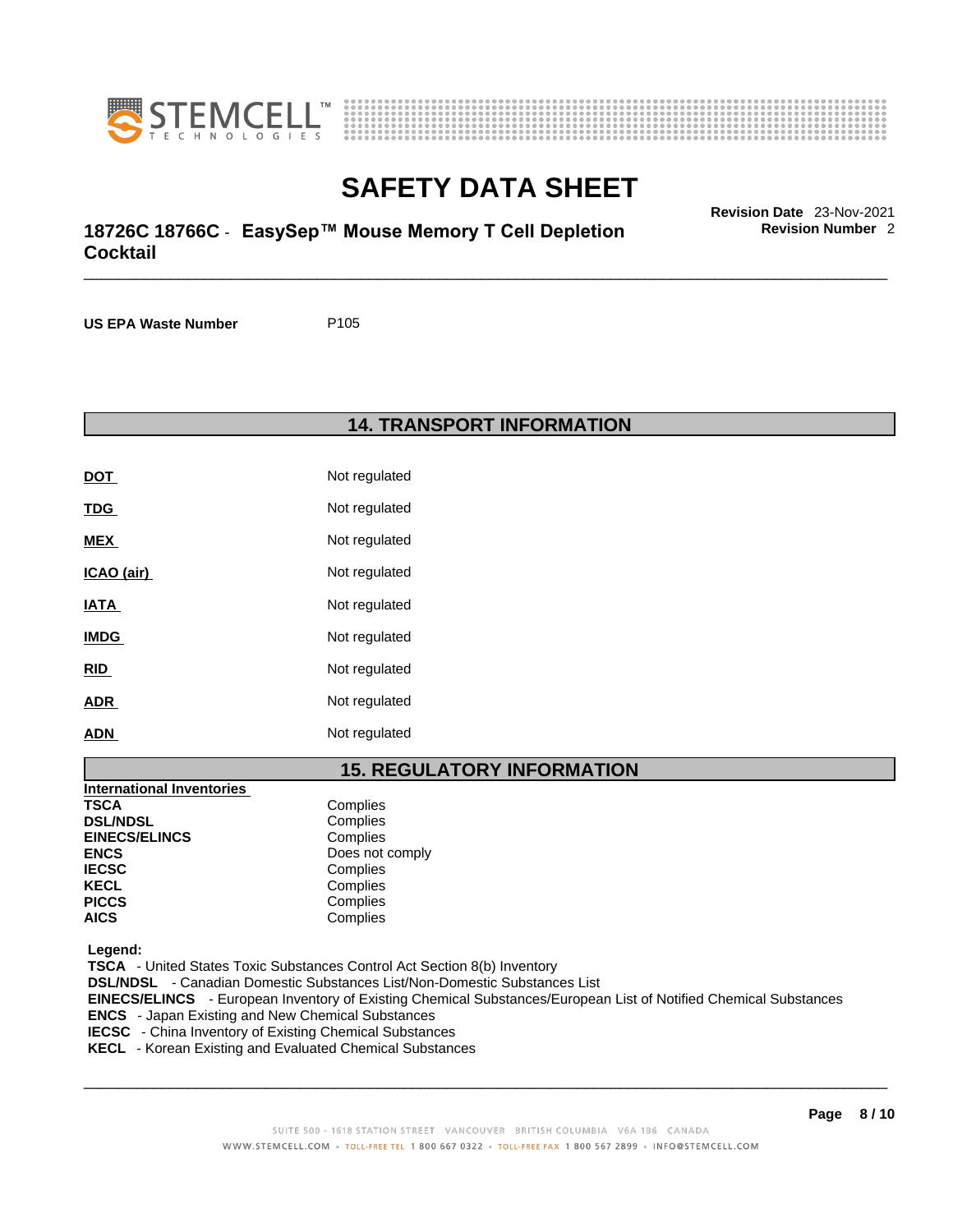



# \_\_\_\_\_\_\_\_\_\_\_\_\_\_\_\_\_\_\_\_\_\_\_\_\_\_\_\_\_\_\_\_\_\_\_\_\_\_\_\_\_\_\_\_\_\_\_\_\_\_\_\_\_\_\_\_\_\_\_\_\_\_\_\_\_\_\_\_\_\_\_\_\_\_\_\_\_\_\_\_\_\_\_\_\_\_\_\_\_\_\_\_\_ **Revision Date** 23-Nov-2021 **18726C 18766C** - **EasySep™ Mouse Memory T Cell Depletion Cocktail**

**Revision Number** 2

**US EPA Waste Number** P105

### **14. TRANSPORT INFORMATION**

| DOT         | Not regulated |
|-------------|---------------|
| TDG         | Not regulated |
| <b>MEX</b>  | Not regulated |
| ICAO (air)  | Not regulated |
| <b>IATA</b> | Not regulated |
| <b>IMDG</b> | Not regulated |
| RID         | Not regulated |
| ADR         | Not regulated |
| ADN         | Not regulated |

# **15. REGULATORY INFORMATION**

| International Inventories |                 |
|---------------------------|-----------------|
| <b>TSCA</b>               | Complies        |
| <b>DSL/NDSL</b>           | Complies        |
| <b>EINECS/ELINCS</b>      | Complies        |
| <b>ENCS</b>               | Does not comply |
| <b>IECSC</b>              | Complies        |
| <b>KECL</b>               | Complies        |
| <b>PICCS</b>              | Complies        |
| <b>AICS</b>               | Complies        |

 **Legend:** 

 **TSCA** - United States Toxic Substances Control Act Section 8(b) Inventory  **DSL/NDSL** - Canadian Domestic Substances List/Non-Domestic Substances List

 **EINECS/ELINCS** - European Inventory of Existing Chemical Substances/European List of Notified Chemical Substances

 **ENCS** - Japan Existing and New Chemical Substances

 **IECSC** - China Inventory of Existing Chemical Substances

 **KECL** - Korean Existing and Evaluated Chemical Substances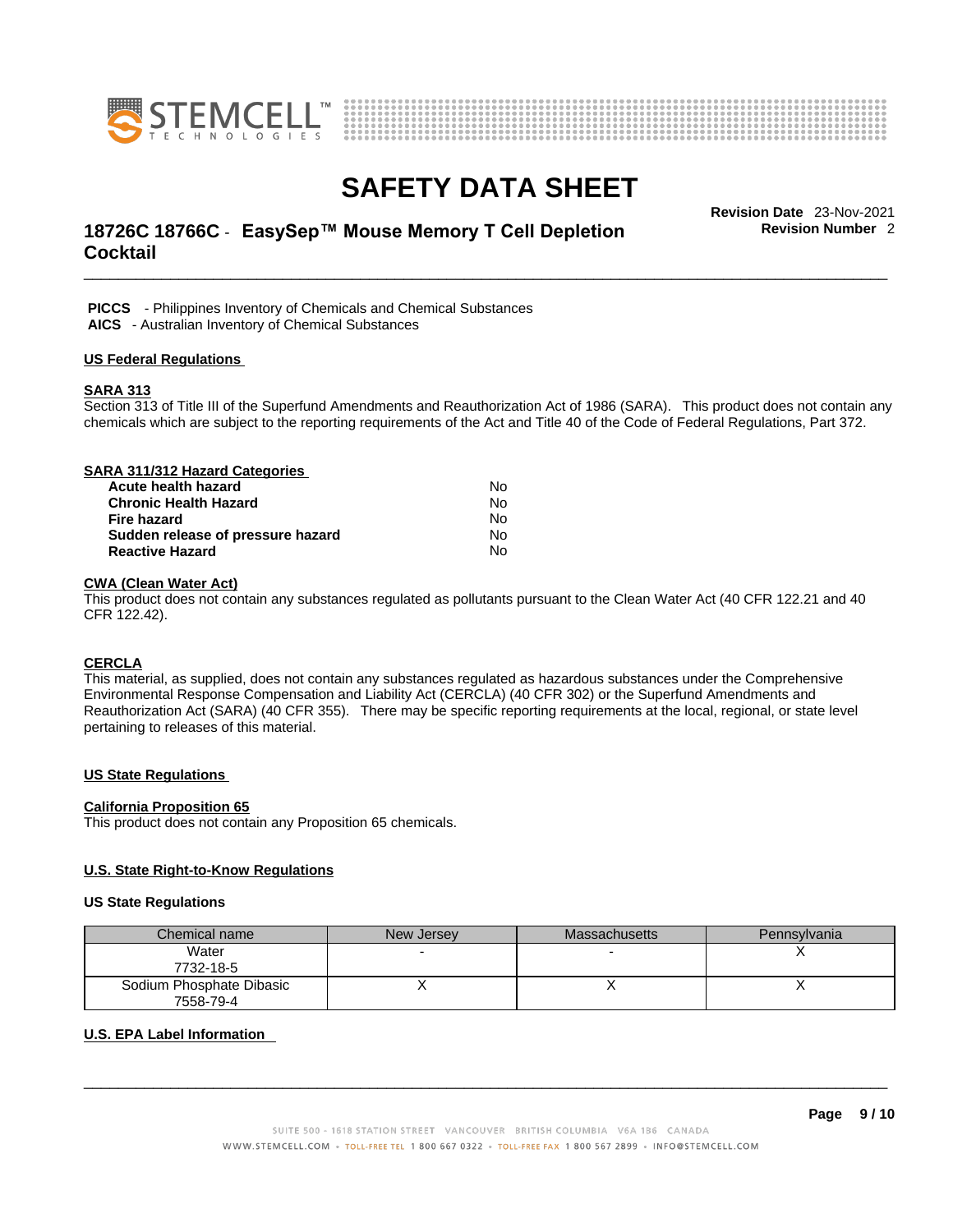



# \_\_\_\_\_\_\_\_\_\_\_\_\_\_\_\_\_\_\_\_\_\_\_\_\_\_\_\_\_\_\_\_\_\_\_\_\_\_\_\_\_\_\_\_\_\_\_\_\_\_\_\_\_\_\_\_\_\_\_\_\_\_\_\_\_\_\_\_\_\_\_\_\_\_\_\_\_\_\_\_\_\_\_\_\_\_\_\_\_\_\_\_\_ **Revision Date** 23-Nov-2021 **18726C 18766C** - **EasySep™ Mouse Memory T Cell Depletion Cocktail**

**Revision Number** 2

 **PICCS** - Philippines Inventory of Chemicals and Chemical Substances  **AICS** - Australian Inventory of Chemical Substances

### **US Federal Regulations**

#### **SARA 313**

Section 313 of Title III of the Superfund Amendments and Reauthorization Act of 1986 (SARA). This product does not contain any chemicals which are subject to the reporting requirements of the Act and Title 40 of the Code of Federal Regulations, Part 372.

| SARA 311/312 Hazard Categories    |    |  |
|-----------------------------------|----|--|
| Acute health hazard               | N٥ |  |
| <b>Chronic Health Hazard</b>      | No |  |
| Fire hazard                       | No |  |
| Sudden release of pressure hazard | No |  |
| <b>Reactive Hazard</b>            | No |  |

### **CWA (Clean WaterAct)**

This product does not contain any substances regulated as pollutants pursuant to the Clean Water Act (40 CFR 122.21 and 40 CFR 122.42).

### **CERCLA**

This material, as supplied, does not contain any substances regulated as hazardous substances under the Comprehensive Environmental Response Compensation and Liability Act (CERCLA) (40 CFR 302) or the Superfund Amendments and Reauthorization Act (SARA) (40 CFR 355). There may be specific reporting requirements at the local, regional, or state level pertaining to releases of this material.

### **US State Regulations**

#### **California Proposition 65**

This product does not contain any Proposition 65 chemicals.

### **U.S. State Right-to-Know Regulations**

#### **US State Regulations**

| Chemical name            | New Jersey | <b>Massachusetts</b> | Pennsylvania |
|--------------------------|------------|----------------------|--------------|
| Water                    |            |                      |              |
| 7732-18-5                |            |                      |              |
| Sodium Phosphate Dibasic |            |                      |              |
| 7558-79-4                |            |                      |              |

### **U.S. EPA Label Information**